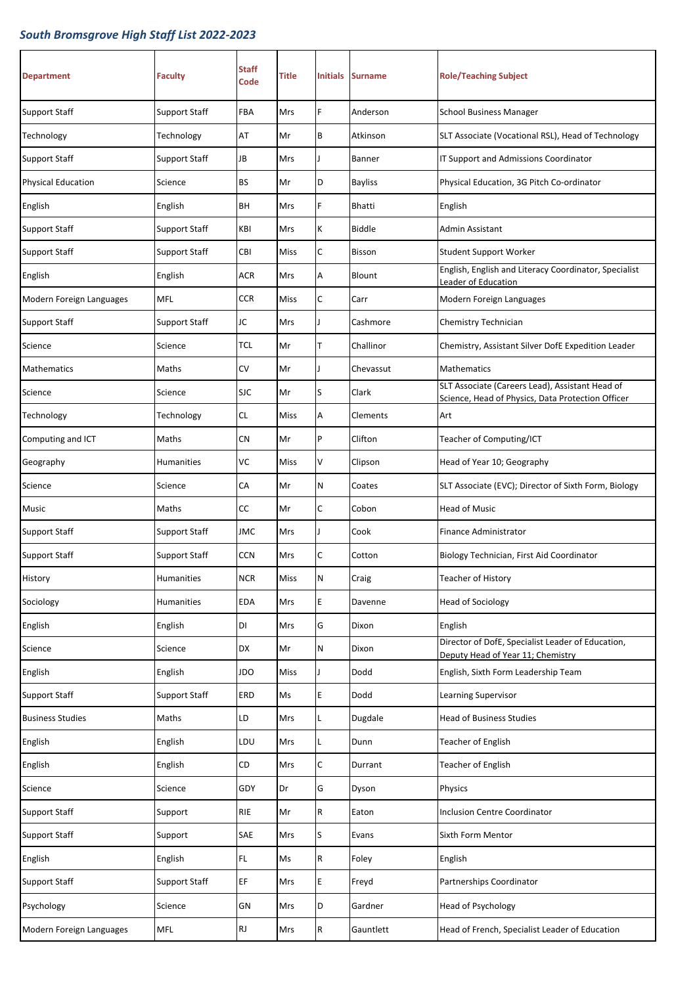| <b>Department</b>         | <b>Faculty</b>       | <b>Staff</b><br>Code   | Title | <b>Initials</b> | <b>Surname</b> | <b>Role/Teaching Subject</b>                                                                         |
|---------------------------|----------------------|------------------------|-------|-----------------|----------------|------------------------------------------------------------------------------------------------------|
| Support Staff             | Support Staff        | FBA                    | Mrs   | F               | Anderson       | <b>School Business Manager</b>                                                                       |
| Technology                | Technology           | AT                     | Mr    | B               | Atkinson       | SLT Associate (Vocational RSL), Head of Technology                                                   |
| <b>Support Staff</b>      | <b>Support Staff</b> | JB                     | Mrs   |                 | Banner         | IT Support and Admissions Coordinator                                                                |
| <b>Physical Education</b> | Science              | BS                     | Mr    | D               | <b>Bayliss</b> | Physical Education, 3G Pitch Co-ordinator                                                            |
| English                   | English              | BH                     | Mrs   | F               | <b>Bhatti</b>  | English                                                                                              |
| Support Staff             | Support Staff        | KBI                    | Mrs   | К               | <b>Biddle</b>  | Admin Assistant                                                                                      |
| Support Staff             | Support Staff        | CBI                    | Miss  | $\mathsf C$     | <b>Bisson</b>  | <b>Student Support Worker</b>                                                                        |
| English                   | English              | <b>ACR</b>             | Mrs   | Α               | Blount         | English, English and Literacy Coordinator, Specialist<br>Leader of Education                         |
| Modern Foreign Languages  | <b>MFL</b>           | <b>CCR</b>             | Miss  | $\mathsf C$     | Carr           | Modern Foreign Languages                                                                             |
| Support Staff             | <b>Support Staff</b> | JC                     | Mrs   |                 | Cashmore       | Chemistry Technician                                                                                 |
| Science                   | Science              | <b>TCL</b>             | Mr    | T               | Challinor      | Chemistry, Assistant Silver DofE Expedition Leader                                                   |
| Mathematics               | Maths                | <b>CV</b>              | Mr    |                 | Chevassut      | Mathematics                                                                                          |
| Science                   | Science              | <b>SJC</b>             | Mr    | S               | Clark          | SLT Associate (Careers Lead), Assistant Head of<br>Science, Head of Physics, Data Protection Officer |
| Technology                | Technology           | <b>CL</b>              | Miss  | Α               | Clements       | Art                                                                                                  |
| Computing and ICT         | Maths                | <b>CN</b>              | Mr    | P               | Clifton        | Teacher of Computing/ICT                                                                             |
| Geography                 | Humanities           | VC                     | Miss  | V               | Clipson        | Head of Year 10; Geography                                                                           |
| Science                   | Science              | CA                     | Mr    | N               | Coates         | SLT Associate (EVC); Director of Sixth Form, Biology                                                 |
| Music                     | Maths                | <b>CC</b>              | Mr    | $\mathsf{C}$    | Cobon          | <b>Head of Music</b>                                                                                 |
| Support Staff             | Support Staff        | <b>JMC</b>             | Mrs   |                 | Cook           | Finance Administrator                                                                                |
| <b>Support Staff</b>      | <b>Support Staff</b> | <b>CCN</b>             | Mrs   | C               | Cotton         | Biology Technician, First Aid Coordinator                                                            |
| History                   | <b>Humanities</b>    | <b>NCR</b>             | Miss  | N               | Craig          | Teacher of History                                                                                   |
| Sociology                 | Humanities           | <b>EDA</b>             | Mrs   | E               | Davenne        | <b>Head of Sociology</b>                                                                             |
| English                   | English              | DI                     | Mrs   | G               | Dixon          | English                                                                                              |
| Science                   | Science              | DX                     | Mr    | $\mathsf{N}$    | Dixon          | Director of DofE, Specialist Leader of Education,<br>Deputy Head of Year 11; Chemistry               |
| English                   | English              | JDO                    | Miss  |                 | Dodd           | English, Sixth Form Leadership Team                                                                  |
| <b>Support Staff</b>      | <b>Support Staff</b> | ERD                    | Ms    | E               | Dodd           | Learning Supervisor                                                                                  |
| <b>Business Studies</b>   | Maths                | LD                     | Mrs   | Г               | Dugdale        | <b>Head of Business Studies</b>                                                                      |
| English                   | English              | LDU                    | Mrs   | Г               | Dunn           | Teacher of English                                                                                   |
| English                   | English              | CD                     | Mrs   | C               | Durrant        | Teacher of English                                                                                   |
| Science                   | Science              | GDY                    | Dr    | G               | Dyson          | Physics                                                                                              |
| <b>Support Staff</b>      | Support              | RIE                    | Mr    | ${\sf R}$       | Eaton          | <b>Inclusion Centre Coordinator</b>                                                                  |
| <b>Support Staff</b>      | Support              | SAE                    | Mrs   | S               | Evans          | Sixth Form Mentor                                                                                    |
| English                   | English              | FL.                    | Ms    | $\mathsf R$     | Foley          | English                                                                                              |
| <b>Support Staff</b>      | <b>Support Staff</b> | EF                     | Mrs   | E               | Freyd          | Partnerships Coordinator                                                                             |
| Psychology                | Science              | GN                     | Mrs   | D               | Gardner        | Head of Psychology                                                                                   |
| Modern Foreign Languages  | MFL                  | $\mathsf{R}\mathsf{J}$ | Mrs   | R               | Gauntlett      | Head of French, Specialist Leader of Education                                                       |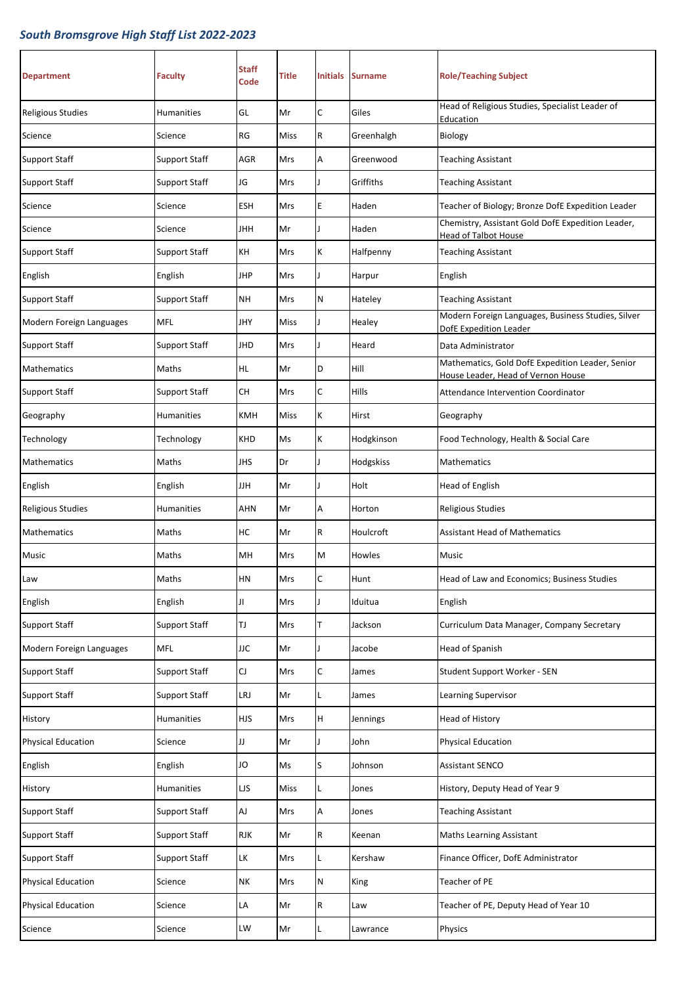| <b>Department</b>         | <b>Faculty</b>       | Staff<br>Code | <b>Title</b> | <b>Initials</b> | <b>Surname</b> | <b>Role/Teaching Subject</b>                                                           |
|---------------------------|----------------------|---------------|--------------|-----------------|----------------|----------------------------------------------------------------------------------------|
| <b>Religious Studies</b>  | Humanities           | GL            | Mr           | C               | Giles          | Head of Religious Studies, Specialist Leader of<br>Education                           |
| Science                   | Science              | RG            | Miss         | R               | Greenhalgh     | Biology                                                                                |
| Support Staff             | Support Staff        | AGR           | Mrs          | A               | Greenwood      | <b>Teaching Assistant</b>                                                              |
| <b>Support Staff</b>      | Support Staff        | JG            | Mrs          | $\mathbf{I}$    | Griffiths      | <b>Teaching Assistant</b>                                                              |
| Science                   | Science              | <b>ESH</b>    | <b>Mrs</b>   | E               | Haden          | Teacher of Biology; Bronze DofE Expedition Leader                                      |
| Science                   | Science              | JHH           | Mr           | $\mathbf{I}$    | Haden          | Chemistry, Assistant Gold DofE Expedition Leader,<br>Head of Talbot House              |
| <b>Support Staff</b>      | Support Staff        | КH            | Mrs          | K               | Halfpenny      | <b>Teaching Assistant</b>                                                              |
| English                   | English              | JHP           | Mrs          | T               | Harpur         | English                                                                                |
| <b>Support Staff</b>      | <b>Support Staff</b> | <b>NH</b>     | Mrs          | N               | Hateley        | <b>Teaching Assistant</b>                                                              |
| Modern Foreign Languages  | <b>MFL</b>           | JHY           | Miss         |                 | Healey         | Modern Foreign Languages, Business Studies, Silver<br>DofE Expedition Leader           |
| <b>Support Staff</b>      | Support Staff        | JHD           | Mrs          | ı               | Heard          | Data Administrator                                                                     |
| <b>Mathematics</b>        | Maths                | HL.           | Mr           | D               | Hill           | Mathematics, Gold DofE Expedition Leader, Senior<br>House Leader, Head of Vernon House |
| Support Staff             | <b>Support Staff</b> | CН            | Mrs          | C               | Hills          | Attendance Intervention Coordinator                                                    |
| Geography                 | Humanities           | <b>KMH</b>    | <b>Miss</b>  | К               | Hirst          | Geography                                                                              |
| Technology                | Technology           | <b>KHD</b>    | Ms           | К               | Hodgkinson     | Food Technology, Health & Social Care                                                  |
| Mathematics               | Maths                | JHS           | Dr           |                 | Hodgskiss      | Mathematics                                                                            |
| English                   | English              | IJН           | Mr           |                 | Holt           | Head of English                                                                        |
| <b>Religious Studies</b>  | Humanities           | AHN           | Mr           | A               | Horton         | <b>Religious Studies</b>                                                               |
| Mathematics               | Maths                | нс            | Mr           | R               | Houlcroft      | Assistant Head of Mathematics                                                          |
| Music                     | Maths                | MH            | Mrs          | M               | Howles         | Music                                                                                  |
| Law                       | Maths                | HN            | Mrs          | $\mathsf{C}$    | Hunt           | Head of Law and Economics; Business Studies                                            |
| English                   | English              | Л             | Mrs          |                 | Iduitua        | English                                                                                |
| <b>Support Staff</b>      | <b>Support Staff</b> | TJ            | <b>Mrs</b>   | T               | Jackson        | Curriculum Data Manager, Company Secretary                                             |
| Modern Foreign Languages  | <b>MFL</b>           | <b>JJC</b>    | Mr           |                 | Jacobe         | Head of Spanish                                                                        |
| <b>Support Staff</b>      | Support Staff        | CJ            | Mrs          | C               | James          | Student Support Worker - SEN                                                           |
| <b>Support Staff</b>      | Support Staff        | LRJ           | Mr           | L               | James          | Learning Supervisor                                                                    |
| History                   | Humanities           | <b>HJS</b>    | Mrs          | H               | Jennings       | Head of History                                                                        |
| <b>Physical Education</b> | Science              | IJ            | Mr           |                 | John           | <b>Physical Education</b>                                                              |
| English                   | English              | JO            | Ms           | S               | Johnson        | <b>Assistant SENCO</b>                                                                 |
| History                   | Humanities           | LJS           | Miss         | Г               | Jones          | History, Deputy Head of Year 9                                                         |
| <b>Support Staff</b>      | Support Staff        | AJ            | Mrs          | Α               | Jones          | <b>Teaching Assistant</b>                                                              |
| <b>Support Staff</b>      | Support Staff        | <b>RJK</b>    | Mr           | R               | Keenan         | Maths Learning Assistant                                                               |
| <b>Support Staff</b>      | <b>Support Staff</b> | LК            | Mrs          | Г               | Kershaw        | Finance Officer, DofE Administrator                                                    |
| <b>Physical Education</b> | Science              | <b>NK</b>     | Mrs          | N               | King           | Teacher of PE                                                                          |
| <b>Physical Education</b> | Science              | LA            | Mr           | R               | Law            | Teacher of PE, Deputy Head of Year 10                                                  |
| Science                   | Science              | LW            | Mr           | L               | Lawrance       | Physics                                                                                |
|                           |                      |               |              |                 |                |                                                                                        |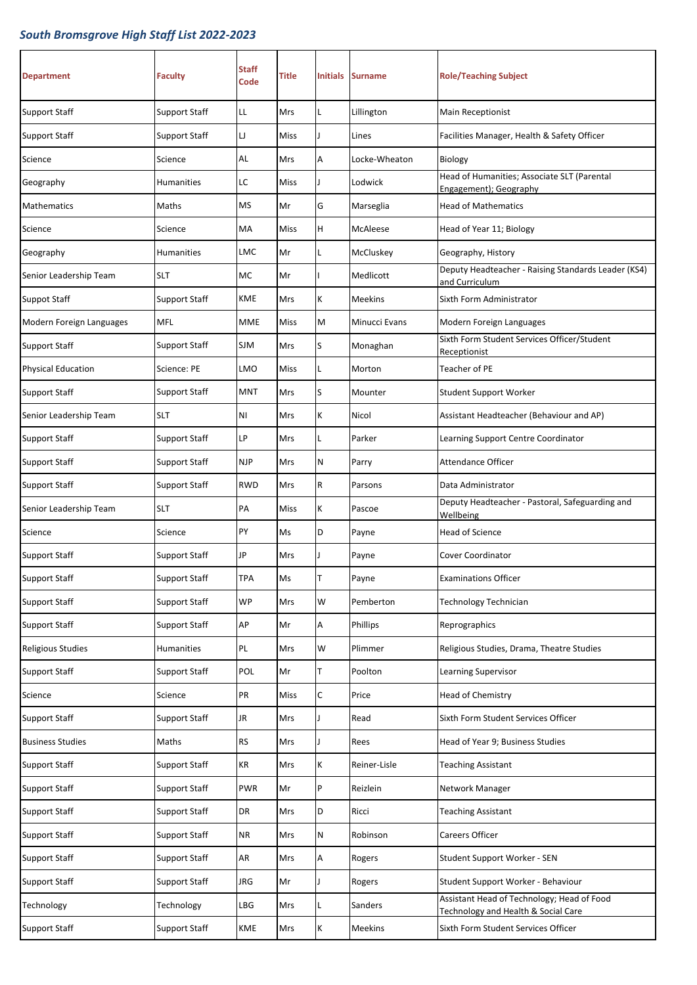| <b>Department</b>         | <b>Faculty</b>       | <b>Staff</b><br>Code | Title       | Initials | <b>Surname</b> | <b>Role/Teaching Subject</b>                                                      |
|---------------------------|----------------------|----------------------|-------------|----------|----------------|-----------------------------------------------------------------------------------|
| Support Staff             | <b>Support Staff</b> | LL                   | Mrs         | L        | Lillington     | Main Receptionist                                                                 |
| Support Staff             | <b>Support Staff</b> | IJ                   | Miss        | Ţ        | Lines          | Facilities Manager, Health & Safety Officer                                       |
| Science                   | Science              | <b>AL</b>            | Mrs         | А        | Locke-Wheaton  | Biology                                                                           |
| Geography                 | <b>Humanities</b>    | LC                   | Miss        | I        | Lodwick        | Head of Humanities; Associate SLT (Parental<br>Engagement); Geography             |
| <b>Mathematics</b>        | Maths                | <b>MS</b>            | Mr          | G        | Marseglia      | <b>Head of Mathematics</b>                                                        |
| Science                   | Science              | MA                   | Miss        | H        | McAleese       | Head of Year 11; Biology                                                          |
| Geography                 | <b>Humanities</b>    | LMC                  | Mr          | L        | McCluskey      | Geography, History                                                                |
| Senior Leadership Team    | <b>SLT</b>           | МC                   | Mr          |          | Medlicott      | Deputy Headteacher - Raising Standards Leader (KS4)<br>and Curriculum             |
| Suppot Staff              | <b>Support Staff</b> | KME                  | Mrs         | K        | <b>Meekins</b> | Sixth Form Administrator                                                          |
| Modern Foreign Languages  | <b>MFL</b>           | <b>MME</b>           | <b>Miss</b> | M        | Minucci Evans  | Modern Foreign Languages                                                          |
| <b>Support Staff</b>      | <b>Support Staff</b> | SJM                  | Mrs         | S        | Monaghan       | Sixth Form Student Services Officer/Student<br>Receptionist                       |
| <b>Physical Education</b> | Science: PE          | LMO                  | Miss        | Г        | Morton         | Teacher of PE                                                                     |
| Support Staff             | Support Staff        | <b>MNT</b>           | Mrs         | S        | Mounter        | Student Support Worker                                                            |
| Senior Leadership Team    | <b>SLT</b>           | ΝI                   | Mrs         | K        | Nicol          | Assistant Headteacher (Behaviour and AP)                                          |
| Support Staff             | Support Staff        | LP                   | Mrs         | L        | Parker         | Learning Support Centre Coordinator                                               |
| Support Staff             | Support Staff        | <b>NJP</b>           | Mrs         | Ν        | Parry          | <b>Attendance Officer</b>                                                         |
| <b>Support Staff</b>      | <b>Support Staff</b> | <b>RWD</b>           | Mrs         | R        | Parsons        | Data Administrator                                                                |
| Senior Leadership Team    | <b>SLT</b>           | PA                   | Miss        | K        | Pascoe         | Deputy Headteacher - Pastoral, Safeguarding and<br>Wellbeing                      |
| Science                   | Science              | PY                   | Ms          | D        | Payne          | <b>Head of Science</b>                                                            |
| <b>Support Staff</b>      | <b>Support Staff</b> | JP                   | Mrs         | T        | Payne          | Cover Coordinator                                                                 |
| <b>Support Staff</b>      | Support Staff        | <b>TPA</b>           | Ms          | T        | Payne          | <b>Examinations Officer</b>                                                       |
| <b>Support Staff</b>      | <b>Support Staff</b> | <b>WP</b>            | Mrs         | W        | Pemberton      | <b>Technology Technician</b>                                                      |
| <b>Support Staff</b>      | <b>Support Staff</b> | AP                   | Mr          | Α        | Phillips       | Reprographics                                                                     |
| <b>Religious Studies</b>  | <b>Humanities</b>    | PL                   | Mrs         | W        | Plimmer        | Religious Studies, Drama, Theatre Studies                                         |
| <b>Support Staff</b>      | <b>Support Staff</b> | POL                  | Mr          | T        | Poolton        | Learning Supervisor                                                               |
| Science                   | Science              | PR                   | Miss        | C        | Price          | Head of Chemistry                                                                 |
| <b>Support Staff</b>      | <b>Support Staff</b> | JR.                  | Mrs         | T        | Read           | Sixth Form Student Services Officer                                               |
| <b>Business Studies</b>   | Maths                | RS                   | Mrs         | T        | Rees           | Head of Year 9; Business Studies                                                  |
| <b>Support Staff</b>      | <b>Support Staff</b> | KR                   | Mrs         | K        | Reiner-Lisle   | <b>Teaching Assistant</b>                                                         |
| <b>Support Staff</b>      | <b>Support Staff</b> | <b>PWR</b>           | Mr          | P        | Reizlein       | Network Manager                                                                   |
| <b>Support Staff</b>      | <b>Support Staff</b> | DR                   | Mrs         | D        | Ricci          | <b>Teaching Assistant</b>                                                         |
| <b>Support Staff</b>      | <b>Support Staff</b> | <b>NR</b>            | <b>Mrs</b>  | Ν        | Robinson       | Careers Officer                                                                   |
| <b>Support Staff</b>      | <b>Support Staff</b> | AR                   | Mrs         | Α        | Rogers         | Student Support Worker - SEN                                                      |
| <b>Support Staff</b>      | <b>Support Staff</b> | <b>JRG</b>           | Mr          | J        | Rogers         | Student Support Worker - Behaviour                                                |
| Technology                | Technology           | LBG                  | Mrs         | L        | Sanders        | Assistant Head of Technology; Head of Food<br>Technology and Health & Social Care |
| <b>Support Staff</b>      | <b>Support Staff</b> | KME                  | Mrs         | K        | Meekins        | Sixth Form Student Services Officer                                               |